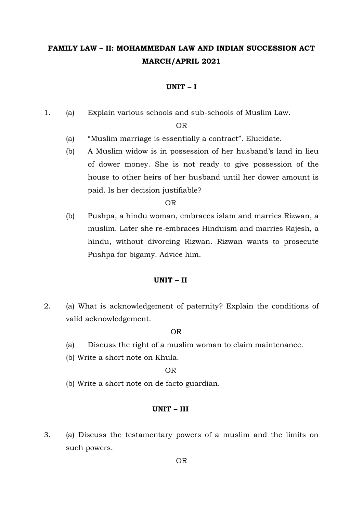# **FAMILY LAW – II: MOHAMMEDAN LAW AND INDIAN SUCCESSION ACT MARCH/APRIL 2021**

### **UNIT – I**

1. (a) Explain various schools and sub-schools of Muslim Law.

### OR

- (a) "Muslim marriage is essentially a contract". Elucidate.
- (b) A Muslim widow is in possession of her husband's land in lieu of dower money. She is not ready to give possession of the house to other heirs of her husband until her dower amount is paid. Is her decision justifiable?

OR

(b) Pushpa, a hindu woman, embraces islam and marries Rizwan, a muslim. Later she re-embraces Hinduism and marries Rajesh, a hindu, without divorcing Rizwan. Rizwan wants to prosecute Pushpa for bigamy. Advice him.

# **UNIT – II**

2. (a) What is acknowledgement of paternity? Explain the conditions of valid acknowledgement.

### OR

- (a) Discuss the right of a muslim woman to claim maintenance.
- (b) Write a short note on Khula.

# OR

(b) Write a short note on de facto guardian.

#### **UNIT – III**

3. (a) Discuss the testamentary powers of a muslim and the limits on such powers.